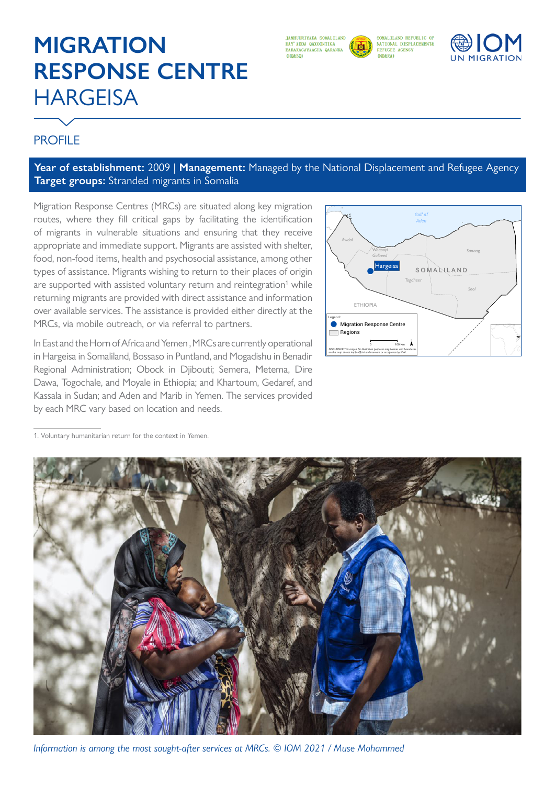# **MIGRATION RESPONSE CENTRE HARGEISA**



SOMALILAND REPUBLIC OF NATIONAL DISPLACEMENT&  $(NDARA)$ 



## **PROFILE**

### **Year of establishment:** 2009 | **Management:** Managed by the National Displacement and Refugee Agency **Target groups:** Stranded migrants in Somalia

Migration Response Centres (MRCs) are situated along key migration routes, where they fill critical gaps by facilitating the identification of migrants in vulnerable situations and ensuring that they receive appropriate and immediate support. Migrants are assisted with shelter, food, non-food items, health and psychosocial assistance, among other types of assistance. Migrants wishing to return to their places of origin are supported with assisted voluntary return and reintegration<sup>1</sup> while returning migrants are provided with direct assistance and information over available services. The assistance is provided either directly at the MRCs, via mobile outreach, or via referral to partners.

In East and the Horn of Africa and Yemen , MRCs are currently operational in Hargeisa in Somaliland, Bossaso in Puntland, and Mogadishu in Benadir Regional Administration; Obock in Djibouti; Semera, Metema, Dire Dawa, Togochale, and Moyale in Ethiopia; and Khartoum, Gedaref, and Kassala in Sudan; and Aden and Marib in Yemen. The services provided by each MRC vary based on location and needs.



1. Voluntary humanitarian return for the context in Yemen.



*Information is among the most sought-after services at MRCs. © IOM 2021 / Muse Mohammed*